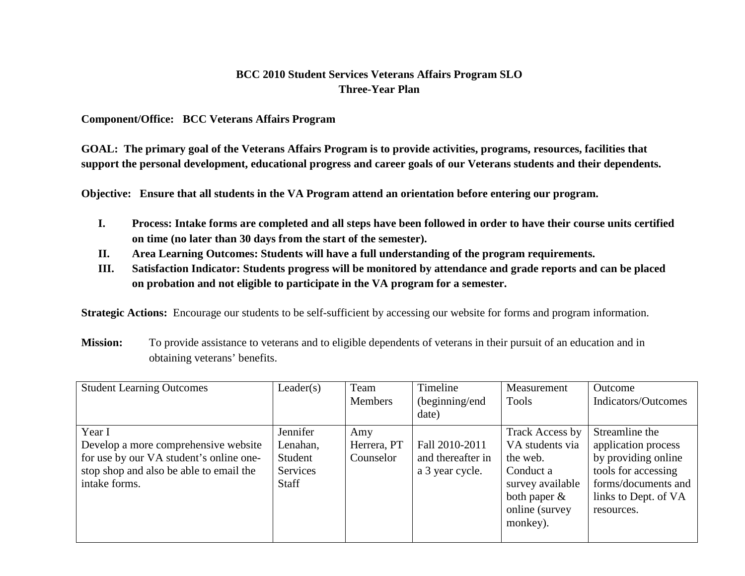## **BCC 2010 Student Services Veterans Affairs Program SLO Three-Year Plan**

**Component/Office: BCC Veterans Affairs Program**

**GOAL: The primary goal of the Veterans Affairs Program is to provide activities, programs, resources, facilities that support the personal development, educational progress and career goals of our Veterans students and their dependents.** 

**Objective: Ensure that all students in the VA Program attend an orientation before entering our program.**

- **I. Process: Intake forms are completed and all steps have been followed in order to have their course units certified on time (no later than 30 days from the start of the semester).**
- **II. Area Learning Outcomes: Students will have a full understanding of the program requirements.**
- **III. Satisfaction Indicator: Students progress will be monitored by attendance and grade reports and can be placed on probation and not eligible to participate in the VA program for a semester.**

**Strategic Actions:** Encourage our students to be self-sufficient by accessing our website for forms and program information.

| <b>Mission:</b> | To provide assistance to veterans and to eligible dependents of veterans in their pursuit of an education and in |
|-----------------|------------------------------------------------------------------------------------------------------------------|
|                 | obtaining veterans' benefits.                                                                                    |

| <b>Student Learning Outcomes</b>                                                                                                                      | Leader(s)                                                   | Team<br><b>Members</b>          | Timeline<br>(beginning/end<br>date)                    | Measurement<br>Tools                                                                                                             | Outcome<br>Indicators/Outcomes                                                                                                                   |
|-------------------------------------------------------------------------------------------------------------------------------------------------------|-------------------------------------------------------------|---------------------------------|--------------------------------------------------------|----------------------------------------------------------------------------------------------------------------------------------|--------------------------------------------------------------------------------------------------------------------------------------------------|
| Year I<br>Develop a more comprehensive website<br>for use by our VA student's online one-<br>stop shop and also be able to email the<br>intake forms. | Jennifer<br>Lenahan,<br>Student<br>Services<br><b>Staff</b> | Amy<br>Herrera, PT<br>Counselor | Fall 2010-2011<br>and thereafter in<br>a 3 year cycle. | Track Access by<br>VA students via<br>the web.<br>Conduct a<br>survey available<br>both paper $\&$<br>online (survey<br>monkey). | Streamline the<br>application process<br>by providing online<br>tools for accessing<br>forms/documents and<br>links to Dept. of VA<br>resources. |